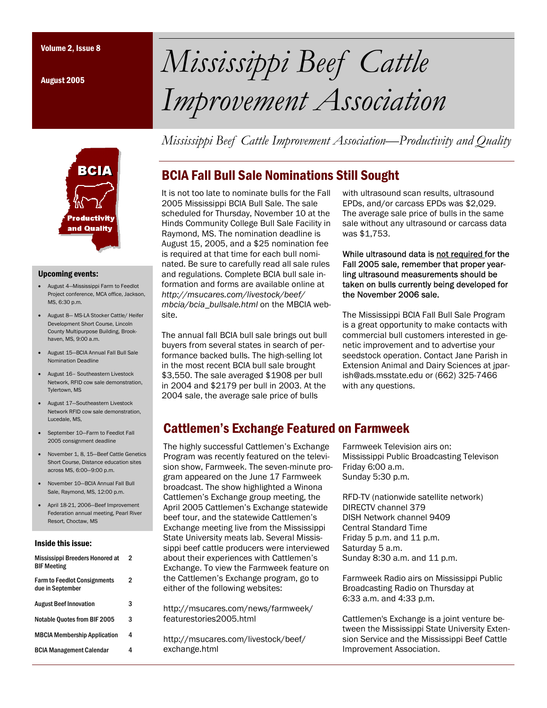August 2005



#### Upcoming events:

- August 4—Mississippi Farm to Feedlot Project conference, MCA office, Jackson, MS, 6:30 p.m.
- August 8— MS-LA Stocker Cattle/ Heifer Development Short Course, Lincoln County Multipurpose Building, Brookhaven, MS, 9:00 a.m.
- August 15—BCIA Annual Fall Bull Sale Nomination Deadline
- August 16– Southeastern Livestock Network, RFID cow sale demonstration, Tylertown, MS
- August 17—Southeastern Livestock Network RFID cow sale demonstration, Lucedale, MS,
- September 10—Farm to Feedlot Fall 2005 consignment deadline
- November 1, 8, 15—Beef Cattle Genetics Short Course, Distance education sites across MS, 6:00—9:00 p.m.
- November 10—BCIA Annual Fall Bull Sale, Raymond, MS, 12:00 p.m.
- April 18-21, 2006—Beef Improvement Federation annual meeting, Pearl River Resort, Choctaw, MS

#### Inside this issue:

| Mississippi Breeders Honored at<br><b>BIF Meeting</b>   | 2 |
|---------------------------------------------------------|---|
| <b>Farm to Feedlot Consignments</b><br>due in September | 2 |
| <b>August Beef Innovation</b>                           | 3 |
| Notable Ouotes from BIF 2005                            | 3 |
| <b>MBCIA Membership Application</b>                     | 4 |
| <b>BCIA Management Calendar</b>                         | Δ |

# Volume 2, Issue 8 *Mississippi Beef Cattle Improvement Association*

*Mississippi Beef Cattle Improvement Association—Productivity and Quality* 

## BCIA Fall Bull Sale Nominations Still Sought

It is not too late to nominate bulls for the Fall 2005 Mississippi BCIA Bull Sale. The sale scheduled for Thursday, November 10 at the Hinds Community College Bull Sale Facility in Raymond, MS. The nomination deadline is August 15, 2005, and a \$25 nomination fee is required at that time for each bull nominated. Be sure to carefully read all sale rules and regulations. Complete BCIA bull sale information and forms are available online at *http://msucares.com/livestock/beef/ mbcia/bcia\_bullsale.html* on the MBCIA website.

The annual fall BCIA bull sale brings out bull buyers from several states in search of performance backed bulls. The high-selling lot in the most recent BCIA bull sale brought \$3,550. The sale averaged \$1908 per bull in 2004 and \$2179 per bull in 2003. At the 2004 sale, the average sale price of bulls

with ultrasound scan results, ultrasound EPDs, and/or carcass EPDs was \$2,029. The average sale price of bulls in the same sale without any ultrasound or carcass data was \$1,753.

While ultrasound data is not required for the Fall 2005 sale, remember that proper yearling ultrasound measurements should be taken on bulls currently being developed for the November 2006 sale.

The Mississippi BCIA Fall Bull Sale Program is a great opportunity to make contacts with commercial bull customers interested in genetic improvement and to advertise your seedstock operation. Contact Jane Parish in Extension Animal and Dairy Sciences at jparish@ads.msstate.edu or (662) 325-7466 with any questions.

## Cattlemen's Exchange Featured on Farmweek

The highly successful Cattlemen's Exchange Program was recently featured on the television show, Farmweek. The seven-minute program appeared on the June 17 Farmweek broadcast. The show highlighted a Winona Cattlemen's Exchange group meeting, the April 2005 Cattlemen's Exchange statewide beef tour, and the statewide Cattlemen's Exchange meeting live from the Mississippi State University meats lab. Several Mississippi beef cattle producers were interviewed about their experiences with Cattlemen's Exchange. To view the Farmweek feature on the Cattlemen's Exchange program, go to either of the following websites:

http://msucares.com/news/farmweek/ featurestories2005.html

http://msucares.com/livestock/beef/ exchange.html

Farmweek Television airs on: Mississippi Public Broadcasting Televison Friday 6:00 a.m. Sunday 5:30 p.m.

RFD-TV (nationwide satellite network) DIRECTV channel 379 DISH Network channel 9409 Central Standard Time Friday 5 p.m. and 11 p.m. Saturday 5 a.m. Sunday 8:30 a.m. and 11 p.m.

Farmweek Radio airs on Mississippi Public Broadcasting Radio on Thursday at 6:33 a.m. and 4:33 p.m.

Cattlemen's Exchange is a joint venture between the Mississippi State University Extension Service and the Mississippi Beef Cattle Improvement Association.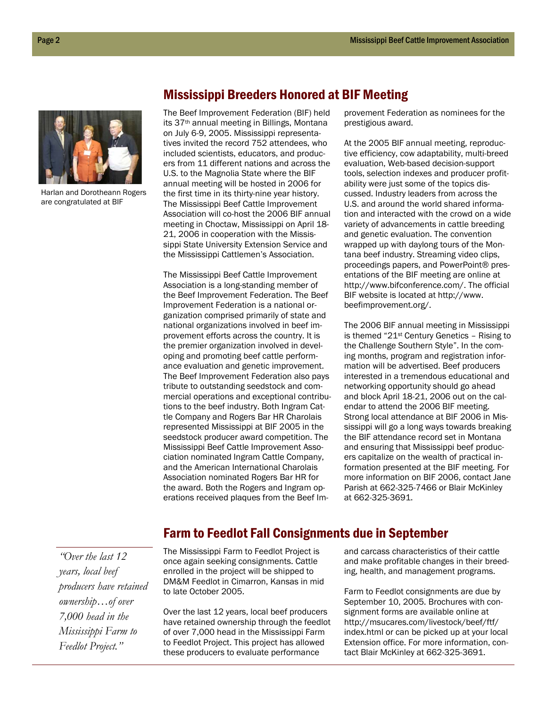

Harlan and Dorotheann Rogers are congratulated at BIF

Mississippi Breeders Honored at BIF Meeting

The Beef Improvement Federation (BIF) held its 37th annual meeting in Billings, Montana on July 6-9, 2005. Mississippi representatives invited the record 752 attendees, who included scientists, educators, and producers from 11 different nations and across the U.S. to the Magnolia State where the BIF annual meeting will be hosted in 2006 for the first time in its thirty-nine year history. The Mississippi Beef Cattle Improvement Association will co-host the 2006 BIF annual meeting in Choctaw, Mississippi on April 18- 21, 2006 in cooperation with the Mississippi State University Extension Service and the Mississippi Cattlemen's Association.

The Mississippi Beef Cattle Improvement Association is a long-standing member of the Beef Improvement Federation. The Beef Improvement Federation is a national organization comprised primarily of state and national organizations involved in beef improvement efforts across the country. It is the premier organization involved in developing and promoting beef cattle performance evaluation and genetic improvement. The Beef Improvement Federation also pays tribute to outstanding seedstock and commercial operations and exceptional contributions to the beef industry. Both Ingram Cattle Company and Rogers Bar HR Charolais represented Mississippi at BIF 2005 in the seedstock producer award competition. The Mississippi Beef Cattle Improvement Association nominated Ingram Cattle Company, and the American International Charolais Association nominated Rogers Bar HR for the award. Both the Rogers and Ingram operations received plaques from the Beef Im-

provement Federation as nominees for the prestigious award.

At the 2005 BIF annual meeting, reproductive efficiency, cow adaptability, multi-breed evaluation, Web-based decision-support tools, selection indexes and producer profitability were just some of the topics discussed. Industry leaders from across the U.S. and around the world shared information and interacted with the crowd on a wide variety of advancements in cattle breeding and genetic evaluation. The convention wrapped up with daylong tours of the Montana beef industry. Streaming video clips, proceedings papers, and PowerPoint® presentations of the BIF meeting are online at http://www.bifconference.com/. The official BIF website is located at http://www. beefimprovement.org/.

The 2006 BIF annual meeting in Mississippi is themed "21st Century Genetics – Rising to the Challenge Southern Style". In the coming months, program and registration information will be advertised. Beef producers interested in a tremendous educational and networking opportunity should go ahead and block April 18-21, 2006 out on the calendar to attend the 2006 BIF meeting. Strong local attendance at BIF 2006 in Mississippi will go a long ways towards breaking the BIF attendance record set in Montana and ensuring that Mississippi beef producers capitalize on the wealth of practical information presented at the BIF meeting. For more information on BIF 2006, contact Jane Parish at 662-325-7466 or Blair McKinley at 662-325-3691.

## Farm to Feedlot Fall Consignments due in September

*"Over the last 12 years, local beef producers have retained ownership…of over 7,000 head in the Mississippi Farm to Feedlot Project."* 

The Mississippi Farm to Feedlot Project is once again seeking consignments. Cattle enrolled in the project will be shipped to DM&M Feedlot in Cimarron, Kansas in mid to late October 2005.

Over the last 12 years, local beef producers have retained ownership through the feedlot of over 7,000 head in the Mississippi Farm to Feedlot Project. This project has allowed these producers to evaluate performance

and carcass characteristics of their cattle and make profitable changes in their breeding, health, and management programs.

Farm to Feedlot consignments are due by September 10, 2005. Brochures with consignment forms are available online at http://msucares.com/livestock/beef/ftf/ index.html or can be picked up at your local Extension office. For more information, contact Blair McKinley at 662-325-3691.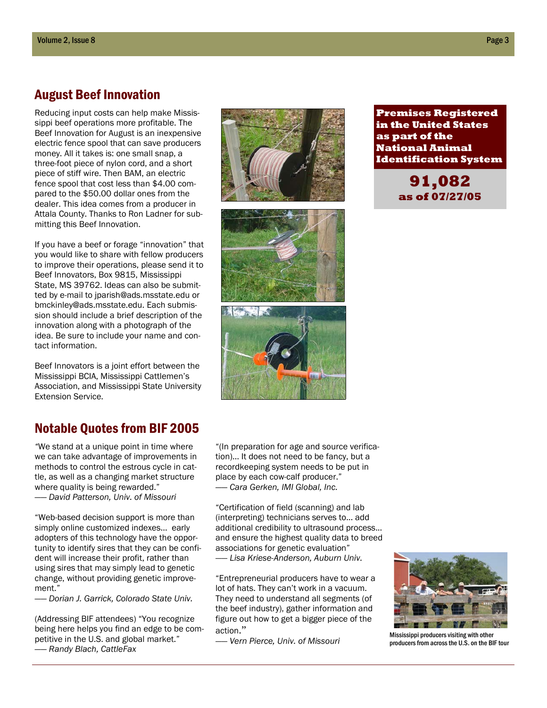## August Beef Innovation

Reducing input costs can help make Mississippi beef operations more profitable. The Beef Innovation for August is an inexpensive electric fence spool that can save producers money. All it takes is: one small snap, a three-foot piece of nylon cord, and a short piece of stiff wire. Then BAM, an electric fence spool that cost less than \$4.00 compared to the \$50.00 dollar ones from the dealer. This idea comes from a producer in Attala County. Thanks to Ron Ladner for submitting this Beef Innovation.

If you have a beef or forage "innovation" that you would like to share with fellow producers to improve their operations, please send it to Beef Innovators, Box 9815, Mississippi State, MS 39762. Ideas can also be submitted by e-mail to jparish@ads.msstate.edu or bmckinley@ads.msstate.edu. Each submission should include a brief description of the innovation along with a photograph of the idea. Be sure to include your name and contact information.

Beef Innovators is a joint effort between the Mississippi BCIA, Mississippi Cattlemen's Association, and Mississippi State University Extension Service.

## Notable Quotes from BIF 2005

*"*We stand at a unique point in time where we can take advantage of improvements in methods to control the estrous cycle in cattle, as well as a changing market structure where quality is being rewarded."

—— *David Patterson, Univ. of Missouri* 

"Web-based decision support is more than simply online customized indexes... early adopters of this technology have the opportunity to identify sires that they can be confident will increase their profit, rather than using sires that may simply lead to genetic change, without providing genetic improvement."

—— *Dorian J. Garrick, Colorado State Univ.* 

(Addressing BIF attendees) "You recognize being here helps you find an edge to be competitive in the U.S. and global market."

—— *Randy Blach, CattleFax*







"(In preparation for age and source verification)… It does not need to be fancy, but a recordkeeping system needs to be put in place by each cow-calf producer." —— *Cara Gerken, IMI Global, Inc.* 

"Certification of field (scanning) and lab (interpreting) technicians serves to… add additional credibility to ultrasound process... and ensure the highest quality data to breed associations for genetic evaluation" *—— Lisa Kriese-Anderson, Auburn Univ.* 

"Entrepreneurial producers have to wear a lot of hats. They can't work in a vacuum. They need to understand all segments (of the beef industry), gather information and figure out how to get a bigger piece of the action."

*—— Vern Pierce, Univ. of Missouri* 

**Premises Registered in the United States as part of the National Animal Identification System** 

> **91,082 as of 07/27/05**



Mississippi producers visiting with other producers from across the U.S. on the BIF tour